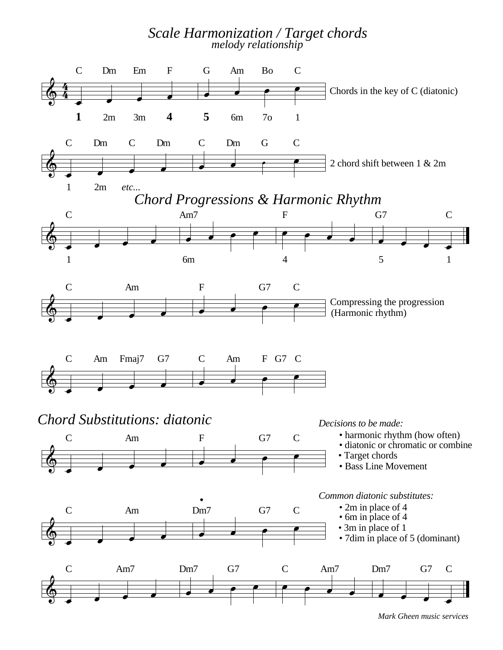## *Scale Harmonization / Target chords melody relationship*



*Mark Gheen music services*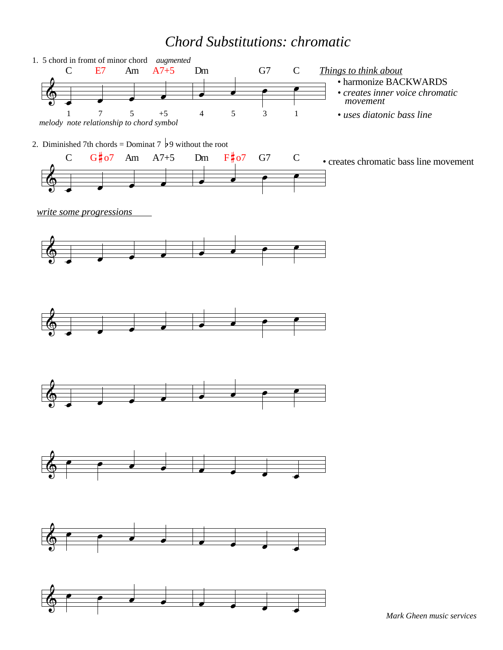## *Chord Substitutions: chromatic*